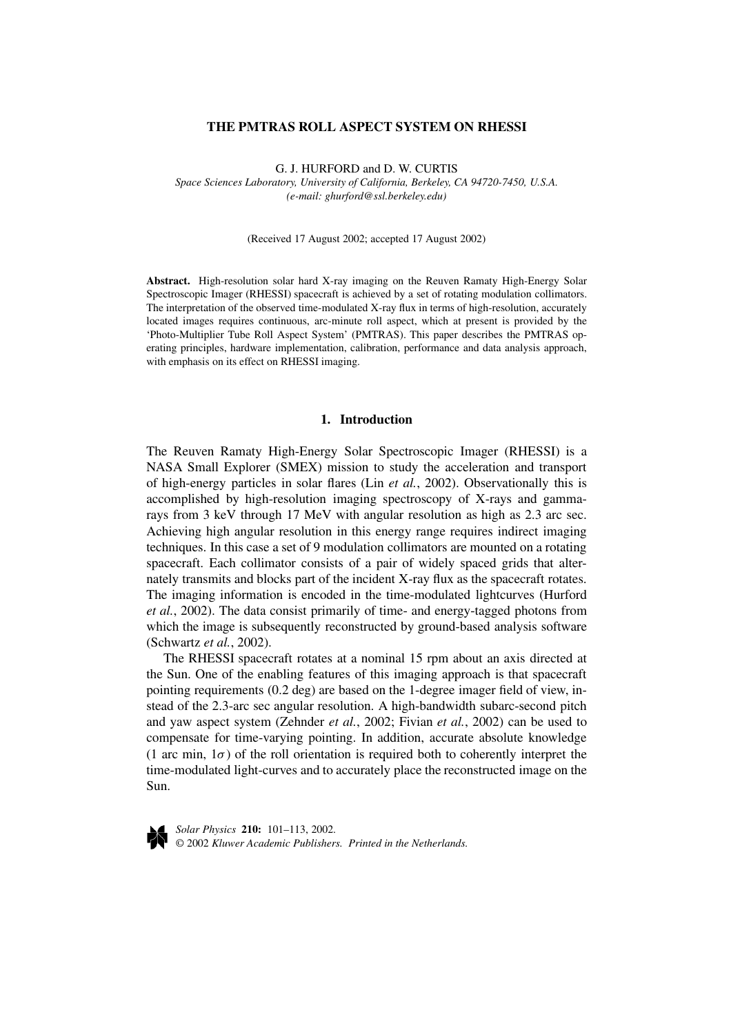# **THE PMTRAS ROLL ASPECT SYSTEM ON RHESSI**

G. J. HURFORD and D. W. CURTIS

*Space Sciences Laboratory, University of California, Berkeley, CA 94720-7450, U.S.A. (e-mail: ghurford@ssl.berkeley.edu)*

(Received 17 August 2002; accepted 17 August 2002)

**Abstract.** High-resolution solar hard X-ray imaging on the Reuven Ramaty High-Energy Solar Spectroscopic Imager (RHESSI) spacecraft is achieved by a set of rotating modulation collimators. The interpretation of the observed time-modulated X-ray flux in terms of high-resolution, accurately located images requires continuous, arc-minute roll aspect, which at present is provided by the 'Photo-Multiplier Tube Roll Aspect System' (PMTRAS). This paper describes the PMTRAS operating principles, hardware implementation, calibration, performance and data analysis approach, with emphasis on its effect on RHESSI imaging.

## **1. Introduction**

The Reuven Ramaty High-Energy Solar Spectroscopic Imager (RHESSI) is a NASA Small Explorer (SMEX) mission to study the acceleration and transport of high-energy particles in solar flares (Lin *et al.*, 2002). Observationally this is accomplished by high-resolution imaging spectroscopy of X-rays and gammarays from 3 keV through 17 MeV with angular resolution as high as 2.3 arc sec. Achieving high angular resolution in this energy range requires indirect imaging techniques. In this case a set of 9 modulation collimators are mounted on a rotating spacecraft. Each collimator consists of a pair of widely spaced grids that alternately transmits and blocks part of the incident X-ray flux as the spacecraft rotates. The imaging information is encoded in the time-modulated lightcurves (Hurford *et al.*, 2002). The data consist primarily of time- and energy-tagged photons from which the image is subsequently reconstructed by ground-based analysis software (Schwartz *et al.*, 2002).

The RHESSI spacecraft rotates at a nominal 15 rpm about an axis directed at the Sun. One of the enabling features of this imaging approach is that spacecraft pointing requirements (0.2 deg) are based on the 1-degree imager field of view, instead of the 2.3-arc sec angular resolution. A high-bandwidth subarc-second pitch and yaw aspect system (Zehnder *et al.*, 2002; Fivian *et al.*, 2002) can be used to compensate for time-varying pointing. In addition, accurate absolute knowledge (1 arc min,  $1\sigma$ ) of the roll orientation is required both to coherently interpret the time-modulated light-curves and to accurately place the reconstructed image on the Sun.



*Solar Physics* **210:** 101–113, 2002. © 2002 *Kluwer Academic Publishers. Printed in the Netherlands.*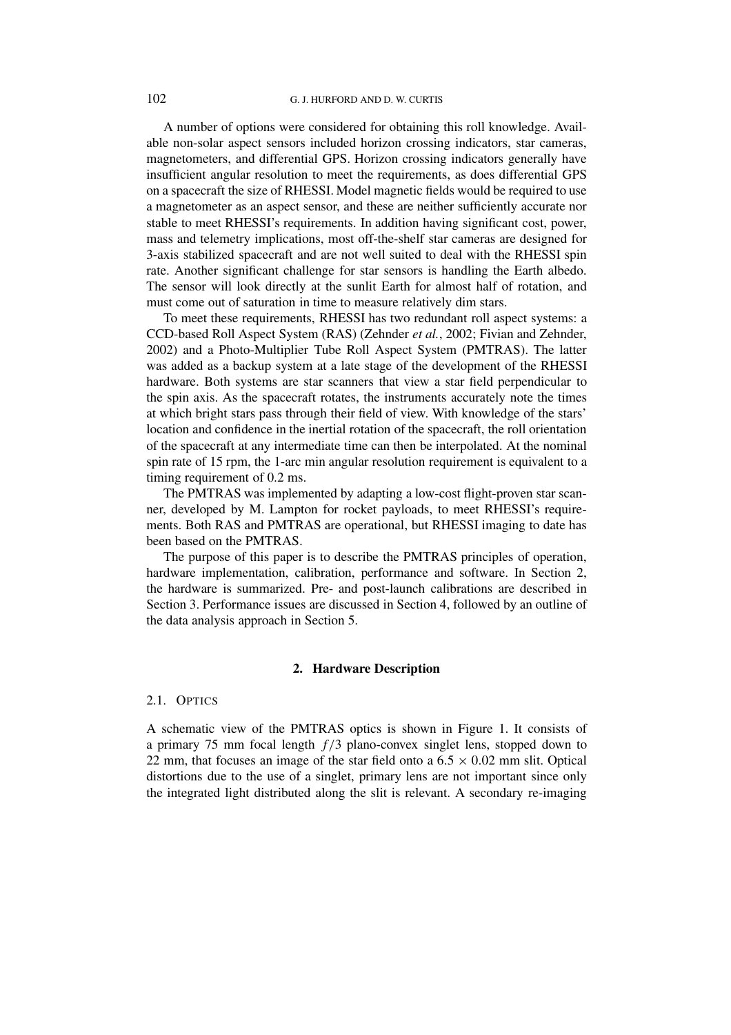A number of options were considered for obtaining this roll knowledge. Available non-solar aspect sensors included horizon crossing indicators, star cameras, magnetometers, and differential GPS. Horizon crossing indicators generally have insufficient angular resolution to meet the requirements, as does differential GPS on a spacecraft the size of RHESSI. Model magnetic fields would be required to use a magnetometer as an aspect sensor, and these are neither sufficiently accurate nor stable to meet RHESSI's requirements. In addition having significant cost, power, mass and telemetry implications, most off-the-shelf star cameras are designed for 3-axis stabilized spacecraft and are not well suited to deal with the RHESSI spin rate. Another significant challenge for star sensors is handling the Earth albedo. The sensor will look directly at the sunlit Earth for almost half of rotation, and must come out of saturation in time to measure relatively dim stars.

To meet these requirements, RHESSI has two redundant roll aspect systems: a CCD-based Roll Aspect System (RAS) (Zehnder *et al.*, 2002; Fivian and Zehnder, 2002) and a Photo-Multiplier Tube Roll Aspect System (PMTRAS). The latter was added as a backup system at a late stage of the development of the RHESSI hardware. Both systems are star scanners that view a star field perpendicular to the spin axis. As the spacecraft rotates, the instruments accurately note the times at which bright stars pass through their field of view. With knowledge of the stars' location and confidence in the inertial rotation of the spacecraft, the roll orientation of the spacecraft at any intermediate time can then be interpolated. At the nominal spin rate of 15 rpm, the 1-arc min angular resolution requirement is equivalent to a timing requirement of 0.2 ms.

The PMTRAS was implemented by adapting a low-cost flight-proven star scanner, developed by M. Lampton for rocket payloads, to meet RHESSI's requirements. Both RAS and PMTRAS are operational, but RHESSI imaging to date has been based on the PMTRAS.

The purpose of this paper is to describe the PMTRAS principles of operation, hardware implementation, calibration, performance and software. In Section 2, the hardware is summarized. Pre- and post-launch calibrations are described in Section 3. Performance issues are discussed in Section 4, followed by an outline of the data analysis approach in Section 5.

### **2. Hardware Description**

#### 2.1. OPTICS

A schematic view of the PMTRAS optics is shown in Figure 1. It consists of a primary 75 mm focal length *f/*3 plano-convex singlet lens, stopped down to 22 mm, that focuses an image of the star field onto a  $6.5 \times 0.02$  mm slit. Optical distortions due to the use of a singlet, primary lens are not important since only the integrated light distributed along the slit is relevant. A secondary re-imaging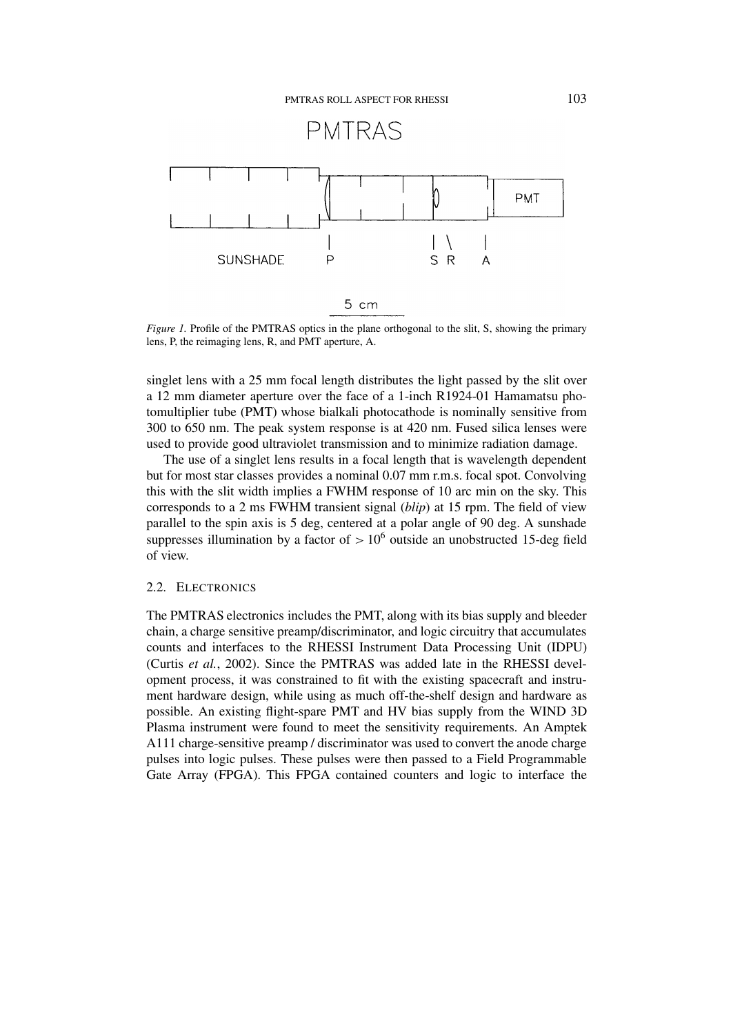

*Figure 1.* Profile of the PMTRAS optics in the plane orthogonal to the slit, S, showing the primary lens, P, the reimaging lens, R, and PMT aperture, A.

singlet lens with a 25 mm focal length distributes the light passed by the slit over a 12 mm diameter aperture over the face of a 1-inch R1924-01 Hamamatsu photomultiplier tube (PMT) whose bialkali photocathode is nominally sensitive from 300 to 650 nm. The peak system response is at 420 nm. Fused silica lenses were used to provide good ultraviolet transmission and to minimize radiation damage.

The use of a singlet lens results in a focal length that is wavelength dependent but for most star classes provides a nominal 0.07 mm r.m.s. focal spot. Convolving this with the slit width implies a FWHM response of 10 arc min on the sky. This corresponds to a 2 ms FWHM transient signal (*blip*) at 15 rpm. The field of view parallel to the spin axis is 5 deg, centered at a polar angle of 90 deg. A sunshade suppresses illumination by a factor of  $> 10^6$  outside an unobstructed 15-deg field of view.

### 2.2. ELECTRONICS

The PMTRAS electronics includes the PMT, along with its bias supply and bleeder chain, a charge sensitive preamp/discriminator, and logic circuitry that accumulates counts and interfaces to the RHESSI Instrument Data Processing Unit (IDPU) (Curtis *et al.*, 2002). Since the PMTRAS was added late in the RHESSI development process, it was constrained to fit with the existing spacecraft and instrument hardware design, while using as much off-the-shelf design and hardware as possible. An existing flight-spare PMT and HV bias supply from the WIND 3D Plasma instrument were found to meet the sensitivity requirements. An Amptek A111 charge-sensitive preamp / discriminator was used to convert the anode charge pulses into logic pulses. These pulses were then passed to a Field Programmable Gate Array (FPGA). This FPGA contained counters and logic to interface the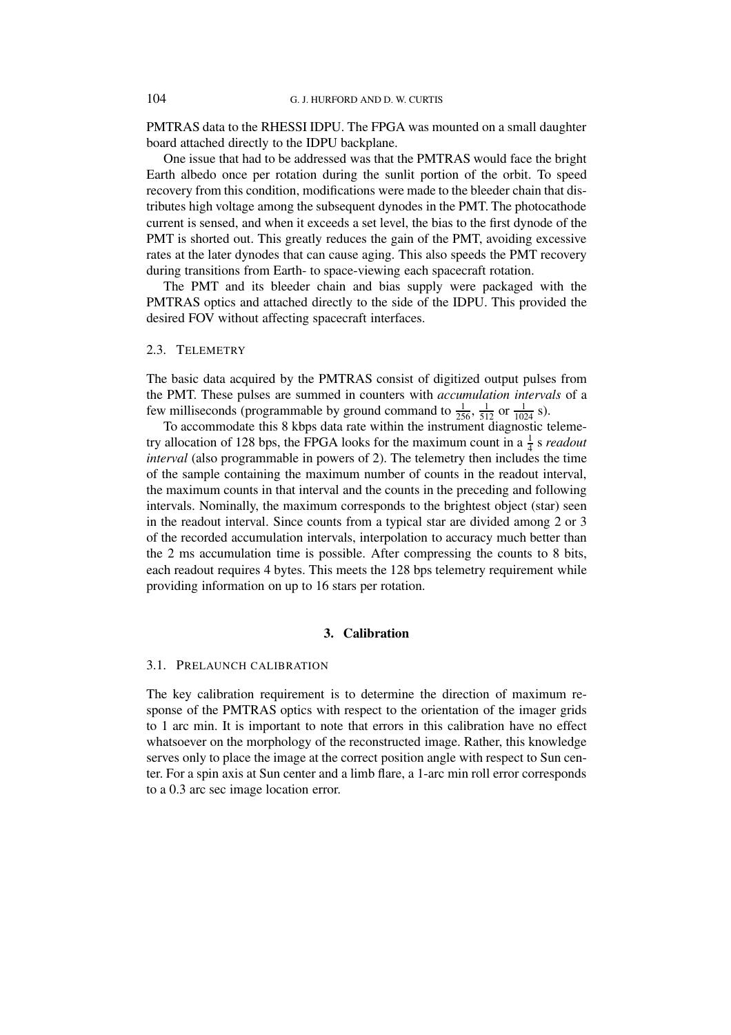PMTRAS data to the RHESSI IDPU. The FPGA was mounted on a small daughter board attached directly to the IDPU backplane.

One issue that had to be addressed was that the PMTRAS would face the bright Earth albedo once per rotation during the sunlit portion of the orbit. To speed recovery from this condition, modifications were made to the bleeder chain that distributes high voltage among the subsequent dynodes in the PMT. The photocathode current is sensed, and when it exceeds a set level, the bias to the first dynode of the PMT is shorted out. This greatly reduces the gain of the PMT, avoiding excessive rates at the later dynodes that can cause aging. This also speeds the PMT recovery during transitions from Earth- to space-viewing each spacecraft rotation.

The PMT and its bleeder chain and bias supply were packaged with the PMTRAS optics and attached directly to the side of the IDPU. This provided the desired FOV without affecting spacecraft interfaces.

#### 2.3. TELEMETRY

The basic data acquired by the PMTRAS consist of digitized output pulses from the PMT. These pulses are summed in counters with *accumulation intervals* of a few milliseconds (programmable by ground command to  $\frac{1}{256}$ ,  $\frac{1}{512}$  or  $\frac{1}{1024}$  s).

To accommodate this 8 kbps data rate within the instrument diagnostic telemetry allocation of 128 bps, the FPGA looks for the maximum count in a  $\frac{1}{4}$  s *readout interval* (also programmable in powers of 2). The telemetry then includes the time of the sample containing the maximum number of counts in the readout interval, the maximum counts in that interval and the counts in the preceding and following intervals. Nominally, the maximum corresponds to the brightest object (star) seen in the readout interval. Since counts from a typical star are divided among 2 or 3 of the recorded accumulation intervals, interpolation to accuracy much better than the 2 ms accumulation time is possible. After compressing the counts to 8 bits, each readout requires 4 bytes. This meets the 128 bps telemetry requirement while providing information on up to 16 stars per rotation.

#### **3. Calibration**

#### 3.1. PRELAUNCH CALIBRATION

The key calibration requirement is to determine the direction of maximum response of the PMTRAS optics with respect to the orientation of the imager grids to 1 arc min. It is important to note that errors in this calibration have no effect whatsoever on the morphology of the reconstructed image. Rather, this knowledge serves only to place the image at the correct position angle with respect to Sun center. For a spin axis at Sun center and a limb flare, a 1-arc min roll error corresponds to a 0.3 arc sec image location error.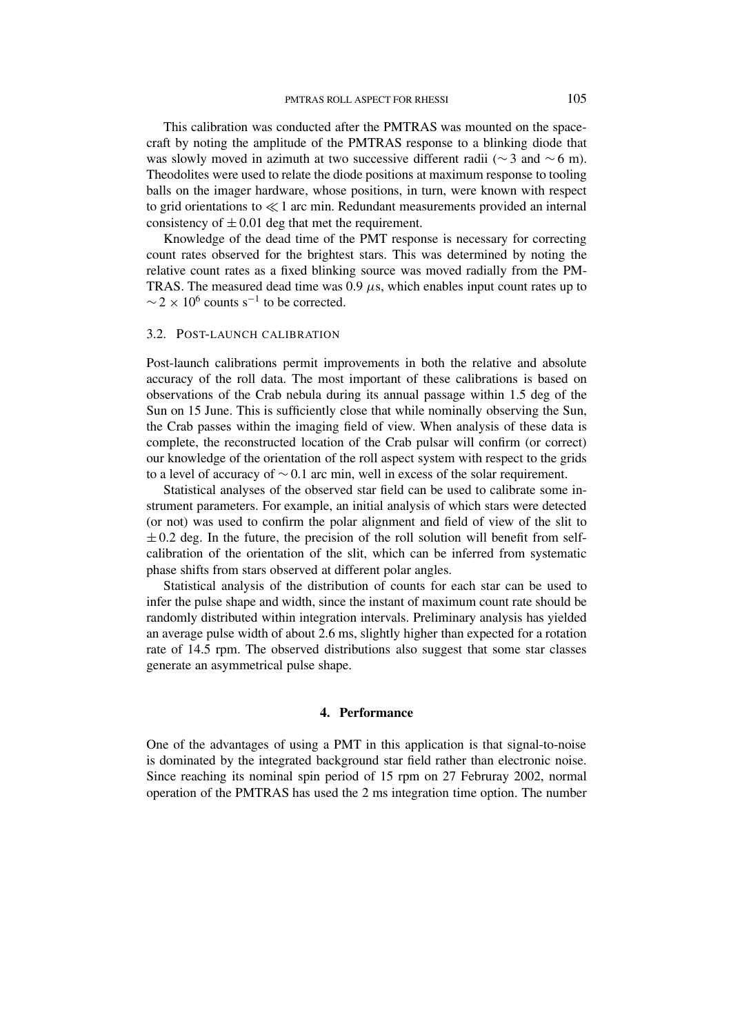This calibration was conducted after the PMTRAS was mounted on the spacecraft by noting the amplitude of the PMTRAS response to a blinking diode that was slowly moved in azimuth at two successive different radii ( $\sim$  3 and  $\sim$  6 m). Theodolites were used to relate the diode positions at maximum response to tooling balls on the imager hardware, whose positions, in turn, were known with respect to grid orientations to  $\ll 1$  arc min. Redundant measurements provided an internal consistency of  $\pm 0.01$  deg that met the requirement.

Knowledge of the dead time of the PMT response is necessary for correcting count rates observed for the brightest stars. This was determined by noting the relative count rates as a fixed blinking source was moved radially from the PM-TRAS. The measured dead time was  $0.9 \mu s$ , which enables input count rates up to  $\sim$  2 × 10<sup>6</sup> counts s<sup>-1</sup> to be corrected.

### 3.2. POST-LAUNCH CALIBRATION

Post-launch calibrations permit improvements in both the relative and absolute accuracy of the roll data. The most important of these calibrations is based on observations of the Crab nebula during its annual passage within 1.5 deg of the Sun on 15 June. This is sufficiently close that while nominally observing the Sun, the Crab passes within the imaging field of view. When analysis of these data is complete, the reconstructed location of the Crab pulsar will confirm (or correct) our knowledge of the orientation of the roll aspect system with respect to the grids to a level of accuracy of ∼ 0.1 arc min, well in excess of the solar requirement.

Statistical analyses of the observed star field can be used to calibrate some instrument parameters. For example, an initial analysis of which stars were detected (or not) was used to confirm the polar alignment and field of view of the slit to  $\pm 0.2$  deg. In the future, the precision of the roll solution will benefit from selfcalibration of the orientation of the slit, which can be inferred from systematic phase shifts from stars observed at different polar angles.

Statistical analysis of the distribution of counts for each star can be used to infer the pulse shape and width, since the instant of maximum count rate should be randomly distributed within integration intervals. Preliminary analysis has yielded an average pulse width of about 2.6 ms, slightly higher than expected for a rotation rate of 14.5 rpm. The observed distributions also suggest that some star classes generate an asymmetrical pulse shape.

#### **4. Performance**

One of the advantages of using a PMT in this application is that signal-to-noise is dominated by the integrated background star field rather than electronic noise. Since reaching its nominal spin period of 15 rpm on 27 Februray 2002, normal operation of the PMTRAS has used the 2 ms integration time option. The number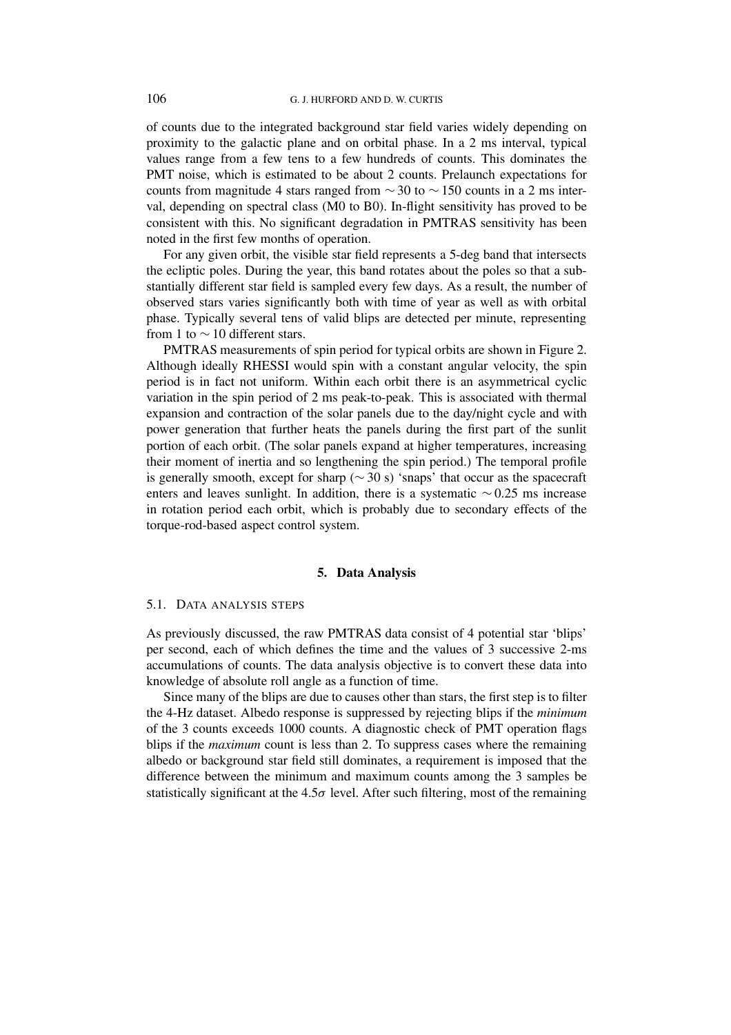of counts due to the integrated background star field varies widely depending on proximity to the galactic plane and on orbital phase. In a 2 ms interval, typical values range from a few tens to a few hundreds of counts. This dominates the PMT noise, which is estimated to be about 2 counts. Prelaunch expectations for counts from magnitude 4 stars ranged from  $\sim$  30 to  $\sim$  150 counts in a 2 ms interval, depending on spectral class (M0 to B0). In-flight sensitivity has proved to be consistent with this. No significant degradation in PMTRAS sensitivity has been noted in the first few months of operation.

For any given orbit, the visible star field represents a 5-deg band that intersects the ecliptic poles. During the year, this band rotates about the poles so that a substantially different star field is sampled every few days. As a result, the number of observed stars varies significantly both with time of year as well as with orbital phase. Typically several tens of valid blips are detected per minute, representing from 1 to  $\sim$  10 different stars.

PMTRAS measurements of spin period for typical orbits are shown in Figure 2. Although ideally RHESSI would spin with a constant angular velocity, the spin period is in fact not uniform. Within each orbit there is an asymmetrical cyclic variation in the spin period of 2 ms peak-to-peak. This is associated with thermal expansion and contraction of the solar panels due to the day/night cycle and with power generation that further heats the panels during the first part of the sunlit portion of each orbit. (The solar panels expand at higher temperatures, increasing their moment of inertia and so lengthening the spin period.) The temporal profile is generally smooth, except for sharp ( $\sim$  30 s) 'snaps' that occur as the spacecraft enters and leaves sunlight. In addition, there is a systematic  $\sim$  0.25 ms increase in rotation period each orbit, which is probably due to secondary effects of the torque-rod-based aspect control system.

## **5. Data Analysis**

### 5.1. DATA ANALYSIS STEPS

As previously discussed, the raw PMTRAS data consist of 4 potential star 'blips' per second, each of which defines the time and the values of 3 successive 2-ms accumulations of counts. The data analysis objective is to convert these data into knowledge of absolute roll angle as a function of time.

Since many of the blips are due to causes other than stars, the first step is to filter the 4-Hz dataset. Albedo response is suppressed by rejecting blips if the *minimum* of the 3 counts exceeds 1000 counts. A diagnostic check of PMT operation flags blips if the *maximum* count is less than 2. To suppress cases where the remaining albedo or background star field still dominates, a requirement is imposed that the difference between the minimum and maximum counts among the 3 samples be statistically significant at the  $4.5\sigma$  level. After such filtering, most of the remaining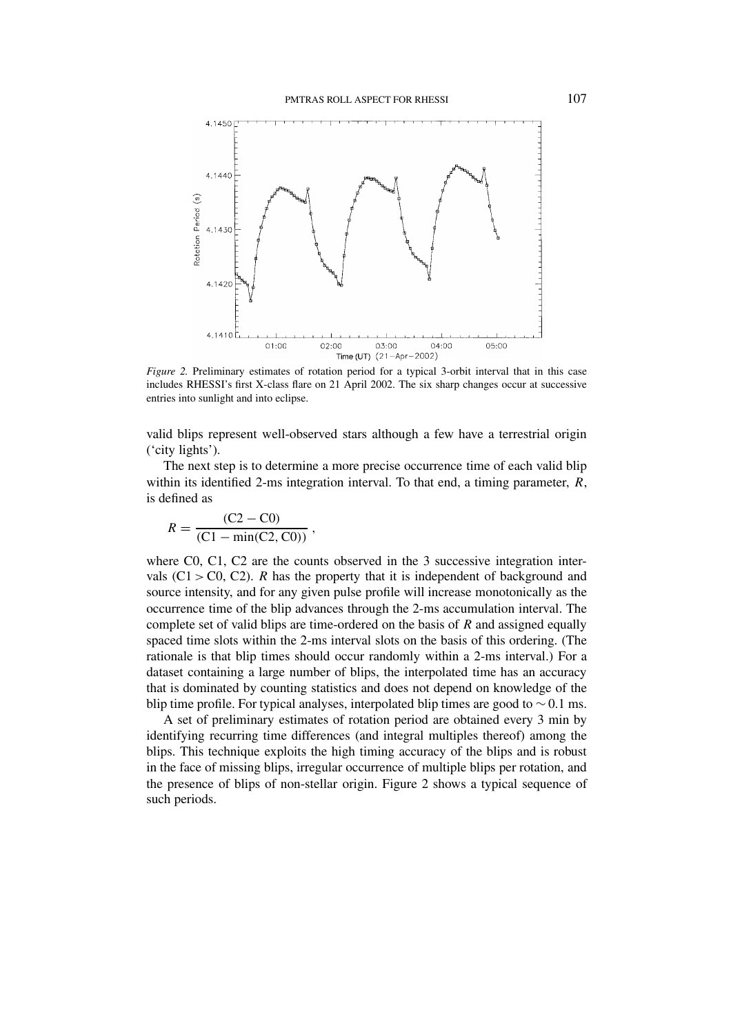

*Figure 2.* Preliminary estimates of rotation period for a typical 3-orbit interval that in this case includes RHESSI's first X-class flare on 21 April 2002. The six sharp changes occur at successive entries into sunlight and into eclipse.

valid blips represent well-observed stars although a few have a terrestrial origin ('city lights').

The next step is to determine a more precise occurrence time of each valid blip within its identified 2-ms integration interval. To that end, a timing parameter, *R*, is defined as

$$
R = \frac{(C2 - C0)}{(C1 - \min(C2, C0))},
$$

where C0, C1, C2 are the counts observed in the 3 successive integration intervals  $(C1 > C0, C2)$ . *R* has the property that it is independent of background and source intensity, and for any given pulse profile will increase monotonically as the occurrence time of the blip advances through the 2-ms accumulation interval. The complete set of valid blips are time-ordered on the basis of *R* and assigned equally spaced time slots within the 2-ms interval slots on the basis of this ordering. (The rationale is that blip times should occur randomly within a 2-ms interval.) For a dataset containing a large number of blips, the interpolated time has an accuracy that is dominated by counting statistics and does not depend on knowledge of the blip time profile. For typical analyses, interpolated blip times are good to  $\sim 0.1$  ms.

A set of preliminary estimates of rotation period are obtained every 3 min by identifying recurring time differences (and integral multiples thereof) among the blips. This technique exploits the high timing accuracy of the blips and is robust in the face of missing blips, irregular occurrence of multiple blips per rotation, and the presence of blips of non-stellar origin. Figure 2 shows a typical sequence of such periods.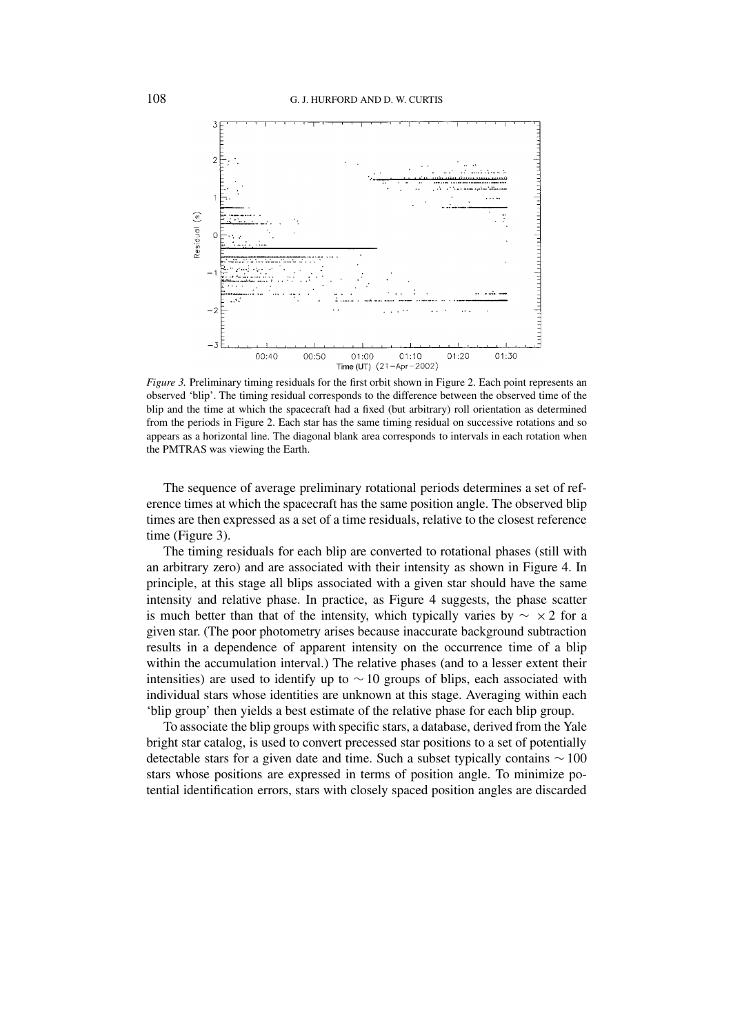

*Figure 3.* Preliminary timing residuals for the first orbit shown in Figure 2. Each point represents an observed 'blip'. The timing residual corresponds to the difference between the observed time of the blip and the time at which the spacecraft had a fixed (but arbitrary) roll orientation as determined from the periods in Figure 2. Each star has the same timing residual on successive rotations and so appears as a horizontal line. The diagonal blank area corresponds to intervals in each rotation when the PMTRAS was viewing the Earth.

The sequence of average preliminary rotational periods determines a set of reference times at which the spacecraft has the same position angle. The observed blip times are then expressed as a set of a time residuals, relative to the closest reference time (Figure 3).

The timing residuals for each blip are converted to rotational phases (still with an arbitrary zero) and are associated with their intensity as shown in Figure 4. In principle, at this stage all blips associated with a given star should have the same intensity and relative phase. In practice, as Figure 4 suggests, the phase scatter is much better than that of the intensity, which typically varies by  $\sim \times 2$  for a given star. (The poor photometry arises because inaccurate background subtraction results in a dependence of apparent intensity on the occurrence time of a blip within the accumulation interval.) The relative phases (and to a lesser extent their intensities) are used to identify up to  $\sim$  10 groups of blips, each associated with individual stars whose identities are unknown at this stage. Averaging within each 'blip group' then yields a best estimate of the relative phase for each blip group.

To associate the blip groups with specific stars, a database, derived from the Yale bright star catalog, is used to convert precessed star positions to a set of potentially detectable stars for a given date and time. Such a subset typically contains ∼ 100 stars whose positions are expressed in terms of position angle. To minimize potential identification errors, stars with closely spaced position angles are discarded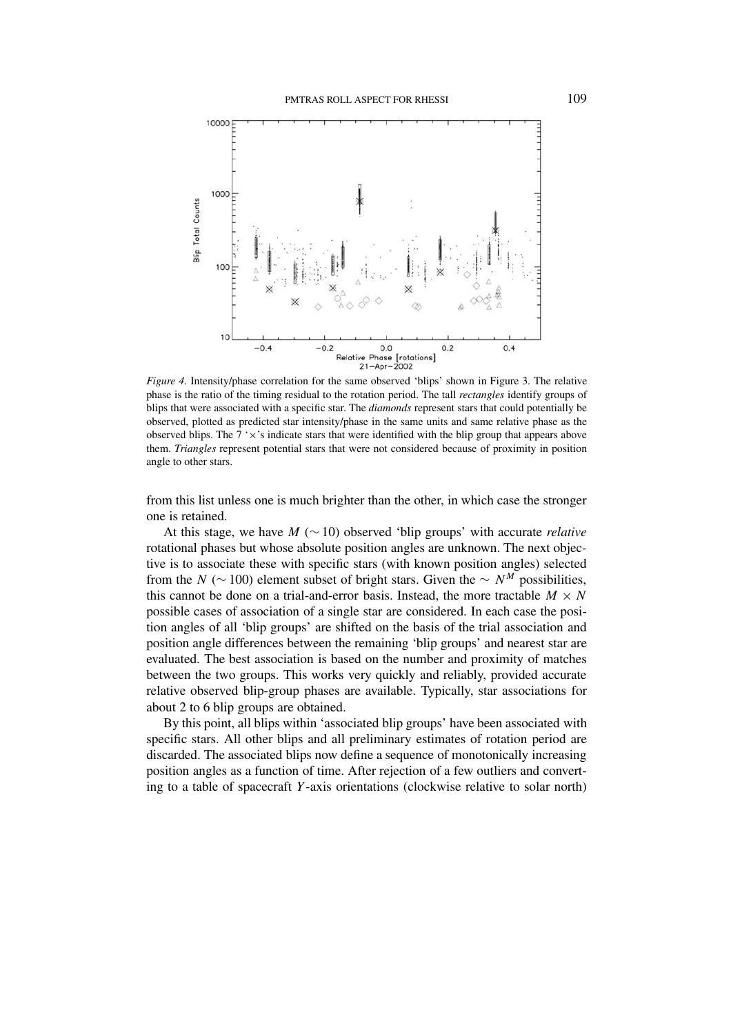

*Figure 4.* Intensity/phase correlation for the same observed 'blips' shown in Figure 3. The relative phase is the ratio of the timing residual to the rotation period. The tall *rectangles* identify groups of blips that were associated with a specific star. The *diamonds* represent stars that could potentially be observed, plotted as predicted star intensity/phase in the same units and same relative phase as the observed blips. The 7  $\cdot \times$ 's indicate stars that were identified with the blip group that appears above them. *Triangles* represent potential stars that were not considered because of proximity in position angle to other stars.

from this list unless one is much brighter than the other, in which case the stronger one is retained.

At this stage, we have *M* (∼ 10) observed 'blip groups' with accurate *relative* rotational phases but whose absolute position angles are unknown. The next objective is to associate these with specific stars (with known position angles) selected from the *N* (∼ 100) element subset of bright stars. Given the  $\sim N^M$  possibilities, this cannot be done on a trial-and-error basis. Instead, the more tractable  $M \times N$ possible cases of association of a single star are considered. In each case the position angles of all 'blip groups' are shifted on the basis of the trial association and position angle differences between the remaining 'blip groups' and nearest star are evaluated. The best association is based on the number and proximity of matches between the two groups. This works very quickly and reliably, provided accurate relative observed blip-group phases are available. Typically, star associations for about 2 to 6 blip groups are obtained.

By this point, all blips within 'associated blip groups' have been associated with specific stars. All other blips and all preliminary estimates of rotation period are discarded. The associated blips now define a sequence of monotonically increasing position angles as a function of time. After rejection of a few outliers and converting to a table of spacecraft *Y* -axis orientations (clockwise relative to solar north)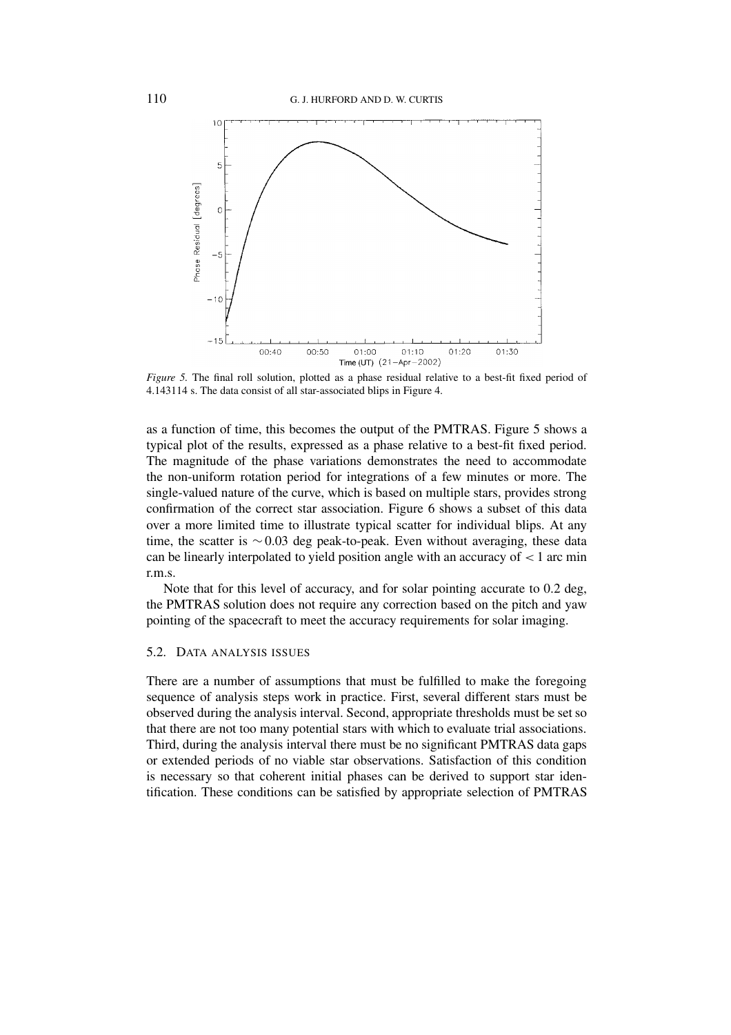

*Figure 5.* The final roll solution, plotted as a phase residual relative to a best-fit fixed period of 4.143114 s. The data consist of all star-associated blips in Figure 4.

as a function of time, this becomes the output of the PMTRAS. Figure 5 shows a typical plot of the results, expressed as a phase relative to a best-fit fixed period. The magnitude of the phase variations demonstrates the need to accommodate the non-uniform rotation period for integrations of a few minutes or more. The single-valued nature of the curve, which is based on multiple stars, provides strong confirmation of the correct star association. Figure 6 shows a subset of this data over a more limited time to illustrate typical scatter for individual blips. At any time, the scatter is  $\sim$  0.03 deg peak-to-peak. Even without averaging, these data can be linearly interpolated to yield position angle with an accuracy of *<* 1 arc min r.m.s.

Note that for this level of accuracy, and for solar pointing accurate to 0.2 deg, the PMTRAS solution does not require any correction based on the pitch and yaw pointing of the spacecraft to meet the accuracy requirements for solar imaging.

## 5.2. DATA ANALYSIS ISSUES

There are a number of assumptions that must be fulfilled to make the foregoing sequence of analysis steps work in practice. First, several different stars must be observed during the analysis interval. Second, appropriate thresholds must be set so that there are not too many potential stars with which to evaluate trial associations. Third, during the analysis interval there must be no significant PMTRAS data gaps or extended periods of no viable star observations. Satisfaction of this condition is necessary so that coherent initial phases can be derived to support star identification. These conditions can be satisfied by appropriate selection of PMTRAS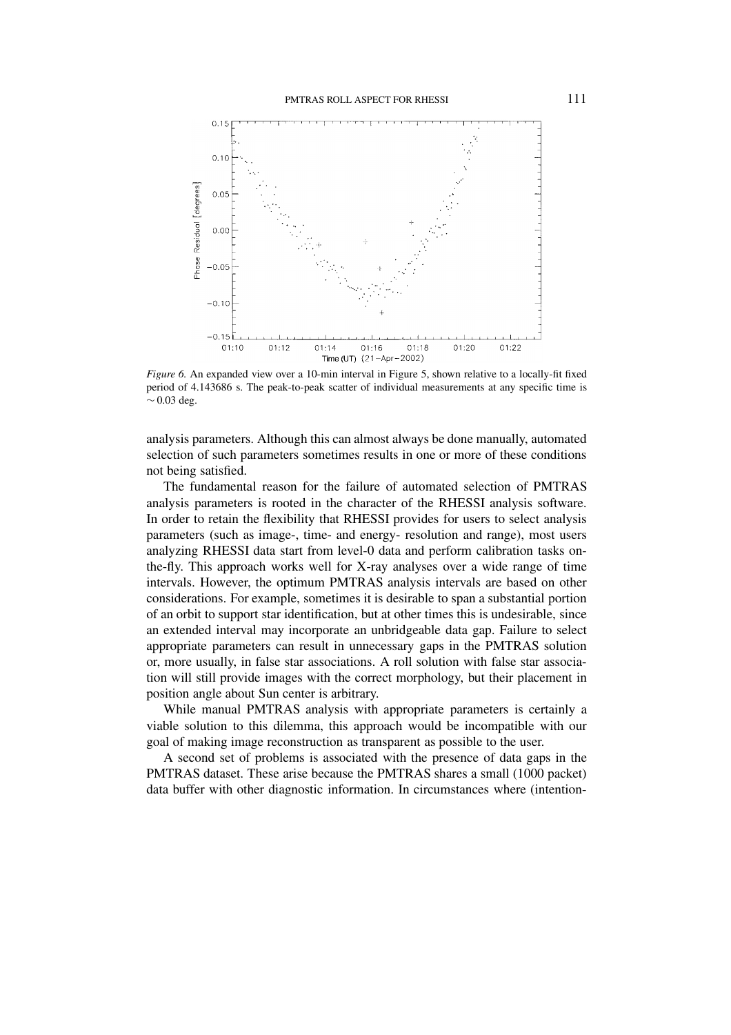

*Figure 6.* An expanded view over a 10-min interval in Figure 5, shown relative to a locally-fit fixed period of 4.143686 s. The peak-to-peak scatter of individual measurements at any specific time is  $~\sim 0.03$  deg.

analysis parameters. Although this can almost always be done manually, automated selection of such parameters sometimes results in one or more of these conditions not being satisfied.

The fundamental reason for the failure of automated selection of PMTRAS analysis parameters is rooted in the character of the RHESSI analysis software. In order to retain the flexibility that RHESSI provides for users to select analysis parameters (such as image-, time- and energy- resolution and range), most users analyzing RHESSI data start from level-0 data and perform calibration tasks onthe-fly. This approach works well for X-ray analyses over a wide range of time intervals. However, the optimum PMTRAS analysis intervals are based on other considerations. For example, sometimes it is desirable to span a substantial portion of an orbit to support star identification, but at other times this is undesirable, since an extended interval may incorporate an unbridgeable data gap. Failure to select appropriate parameters can result in unnecessary gaps in the PMTRAS solution or, more usually, in false star associations. A roll solution with false star association will still provide images with the correct morphology, but their placement in position angle about Sun center is arbitrary.

While manual PMTRAS analysis with appropriate parameters is certainly a viable solution to this dilemma, this approach would be incompatible with our goal of making image reconstruction as transparent as possible to the user.

A second set of problems is associated with the presence of data gaps in the PMTRAS dataset. These arise because the PMTRAS shares a small (1000 packet) data buffer with other diagnostic information. In circumstances where (intention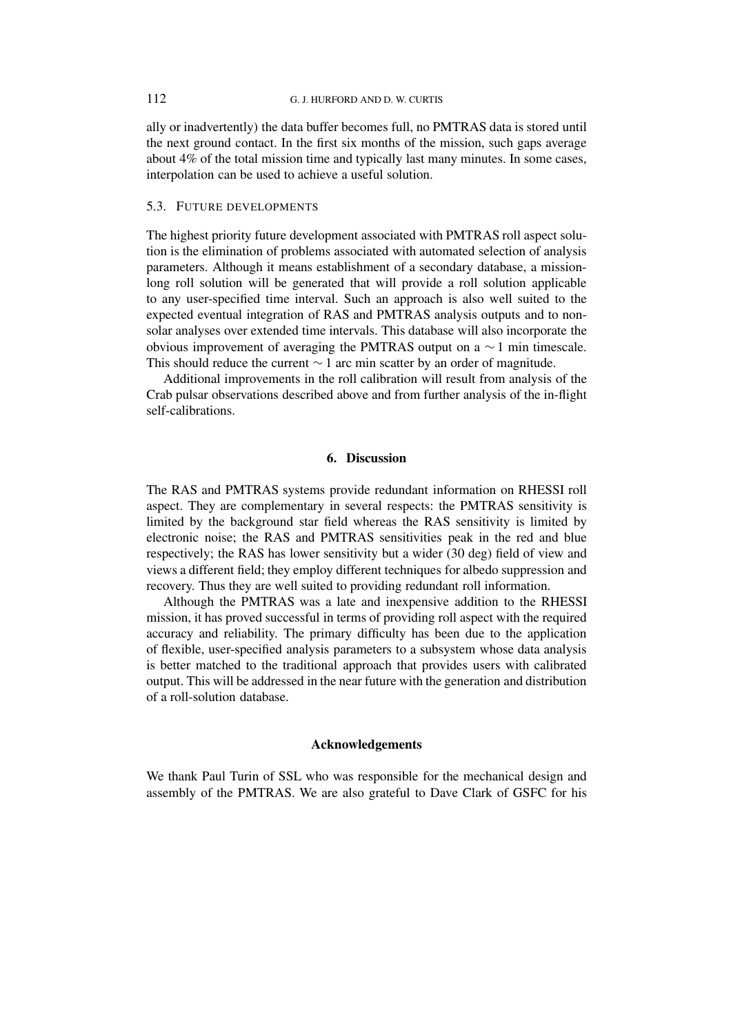ally or inadvertently) the data buffer becomes full, no PMTRAS data is stored until the next ground contact. In the first six months of the mission, such gaps average about 4% of the total mission time and typically last many minutes. In some cases, interpolation can be used to achieve a useful solution.

# 5.3. FUTURE DEVELOPMENTS

The highest priority future development associated with PMTRAS roll aspect solution is the elimination of problems associated with automated selection of analysis parameters. Although it means establishment of a secondary database, a missionlong roll solution will be generated that will provide a roll solution applicable to any user-specified time interval. Such an approach is also well suited to the expected eventual integration of RAS and PMTRAS analysis outputs and to nonsolar analyses over extended time intervals. This database will also incorporate the obvious improvement of averaging the PMTRAS output on a  $\sim$  1 min timescale. This should reduce the current  $\sim$  1 arc min scatter by an order of magnitude.

Additional improvements in the roll calibration will result from analysis of the Crab pulsar observations described above and from further analysis of the in-flight self-calibrations.

#### **6. Discussion**

The RAS and PMTRAS systems provide redundant information on RHESSI roll aspect. They are complementary in several respects: the PMTRAS sensitivity is limited by the background star field whereas the RAS sensitivity is limited by electronic noise; the RAS and PMTRAS sensitivities peak in the red and blue respectively; the RAS has lower sensitivity but a wider (30 deg) field of view and views a different field; they employ different techniques for albedo suppression and recovery. Thus they are well suited to providing redundant roll information.

Although the PMTRAS was a late and inexpensive addition to the RHESSI mission, it has proved successful in terms of providing roll aspect with the required accuracy and reliability. The primary difficulty has been due to the application of flexible, user-specified analysis parameters to a subsystem whose data analysis is better matched to the traditional approach that provides users with calibrated output. This will be addressed in the near future with the generation and distribution of a roll-solution database.

## **Acknowledgements**

We thank Paul Turin of SSL who was responsible for the mechanical design and assembly of the PMTRAS. We are also grateful to Dave Clark of GSFC for his